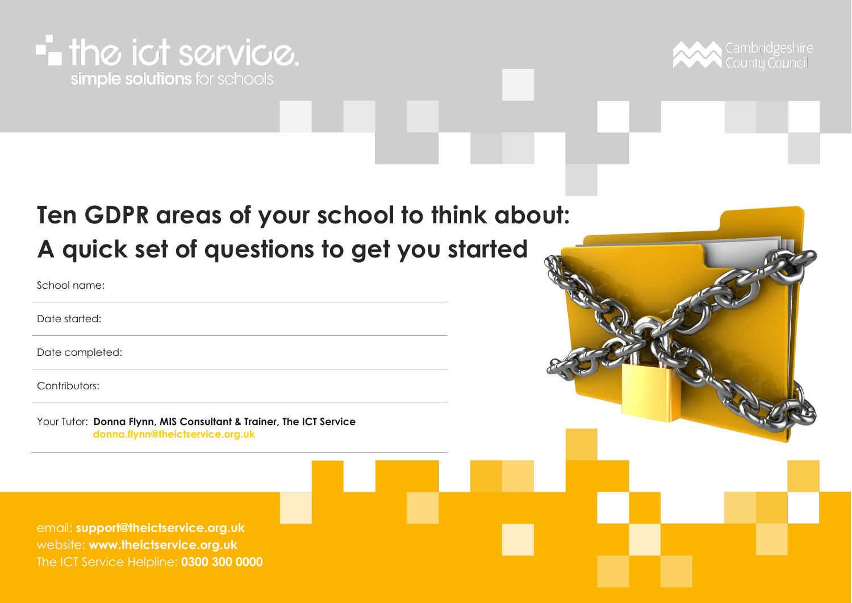#### **-** the ict service. simple solutions for schools



#### **Ten GDPR areas of your school to think about: A quick set of questions to get you started**

School name:

Date started:

Date completed:

Contributors:

Your Tutor: **Donna Flynn, MIS Consultant & Trainer, The ICT Service [donna.flynn@theictservice.org.uk](mailto:donna.flynn@theictservice.org.uk)**

email: **[support@theictservice.org.uk](mailto:support@theictservice.org.uk)** website: **[www.theictservice.org.uk](http://www.theictservice.org.uk/)** The ICT Service Helpline: **0300 300 0000**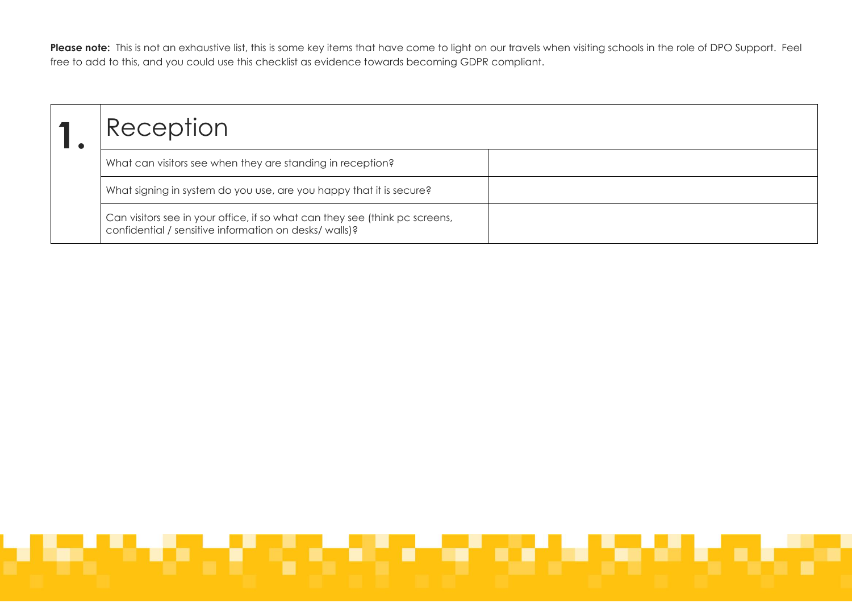Please note: This is not an exhaustive list, this is some key items that have come to light on our travels when visiting schools in the role of DPO Support. Feel free to add to this, and you could use this checklist as evidence towards becoming GDPR compliant.

| Reception                                                                                                                             |  |
|---------------------------------------------------------------------------------------------------------------------------------------|--|
| What can visitors see when they are standing in reception?                                                                            |  |
| What signing in system do you use, are you happy that it is secure?                                                                   |  |
| Can visitors see in your office, if so what can they see (think pc screens,<br>confidential / sensitive information on desks/ walls)? |  |

## an an an Aonaichte an Comhair an Comhair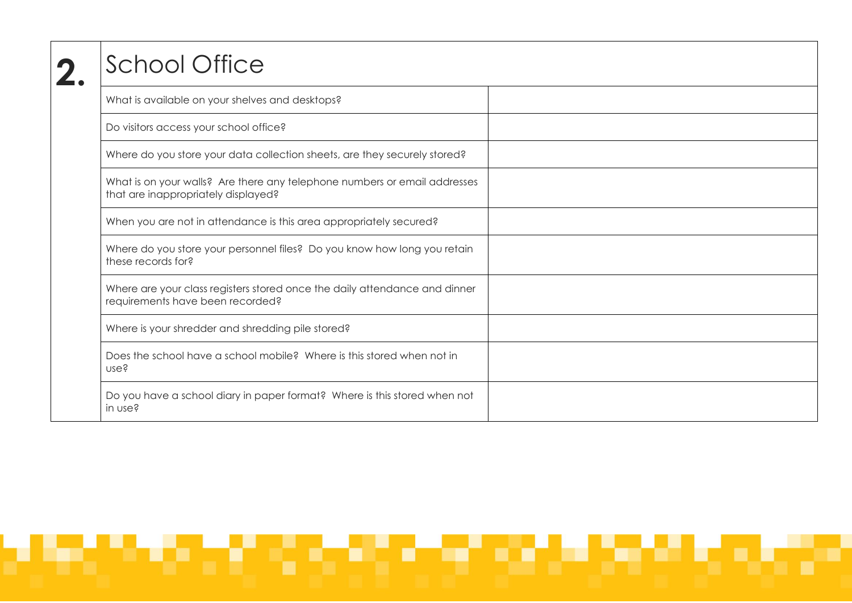| <b>School Office</b>                                                                                             |  |
|------------------------------------------------------------------------------------------------------------------|--|
| What is available on your shelves and desktops?                                                                  |  |
| Do visitors access your school office?                                                                           |  |
| Where do you store your data collection sheets, are they securely stored?                                        |  |
| What is on your walls? Are there any telephone numbers or email addresses<br>that are inappropriately displayed? |  |
| When you are not in attendance is this area appropriately secured?                                               |  |
| Where do you store your personnel files? Do you know how long you retain<br>these records for?                   |  |
| Where are your class registers stored once the daily attendance and dinner<br>requirements have been recorded?   |  |
| Where is your shredder and shredding pile stored?                                                                |  |
| Does the school have a school mobile? Where is this stored when not in<br>use?                                   |  |
| Do you have a school diary in paper format? Where is this stored when not<br>in use?                             |  |

# التواريخ المتوافق المتوافق والمتوافق والمتوافق والمتوافق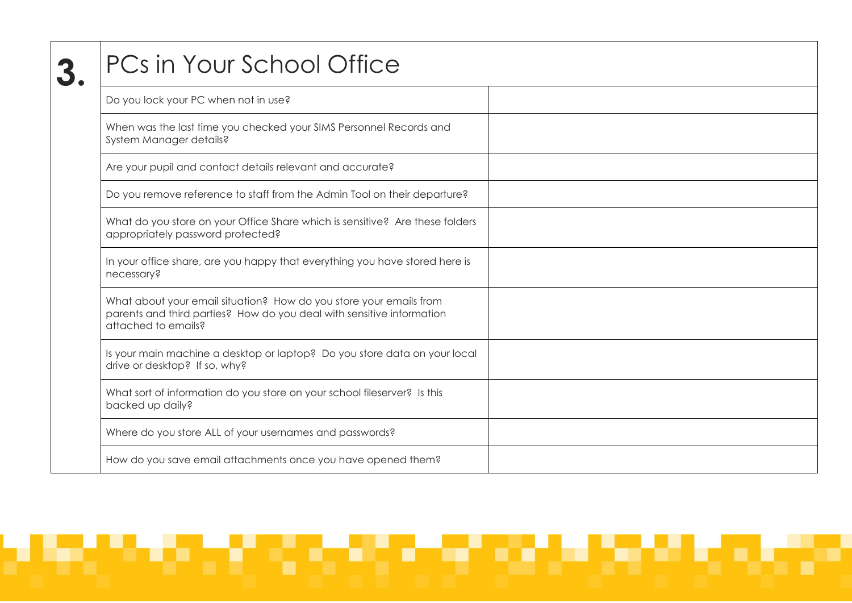| PCs in Your School Office                                                                                                                                          |  |
|--------------------------------------------------------------------------------------------------------------------------------------------------------------------|--|
| Do you lock your PC when not in use?                                                                                                                               |  |
| When was the last time you checked your SIMS Personnel Records and<br>System Manager details?                                                                      |  |
| Are your pupil and contact details relevant and accurate?                                                                                                          |  |
| Do you remove reference to staff from the Admin Tool on their departure?                                                                                           |  |
| What do you store on your Office Share which is sensitive? Are these folders<br>appropriately password protected?                                                  |  |
| In your office share, are you happy that everything you have stored here is<br>necessary?                                                                          |  |
| What about your email situation? How do you store your emails from<br>parents and third parties? How do you deal with sensitive information<br>attached to emails? |  |
| Is your main machine a desktop or laptop? Do you store data on your local<br>drive or desktop? If so, why?                                                         |  |
| What sort of information do you store on your school fileserver? Is this<br>backed up daily?                                                                       |  |
| Where do you store ALL of your usernames and passwords?                                                                                                            |  |
| How do you save email attachments once you have opened them?                                                                                                       |  |

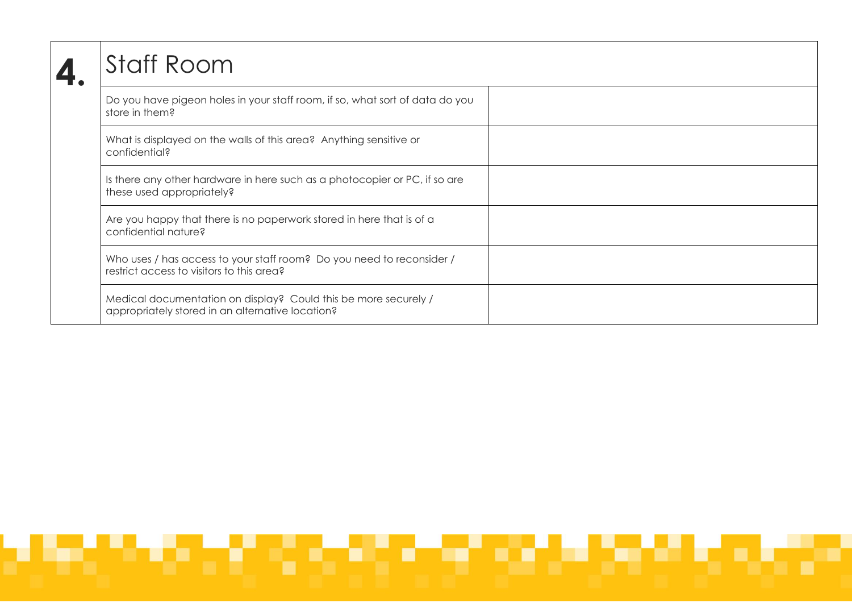| <b>Staff Room</b>                                                                                                   |  |
|---------------------------------------------------------------------------------------------------------------------|--|
| Do you have pigeon holes in your staff room, if so, what sort of data do you<br>store in them?                      |  |
| What is displayed on the walls of this area? Anything sensitive or<br>confidential?                                 |  |
| Is there any other hardware in here such as a photocopier or PC, if so are<br>these used appropriately?             |  |
| Are you happy that there is no paperwork stored in here that is of a<br>confidential nature?                        |  |
| Who uses / has access to your staff room? Do you need to reconsider /<br>restrict access to visitors to this area?  |  |
| Medical documentation on display? Could this be more securely /<br>appropriately stored in an alternative location? |  |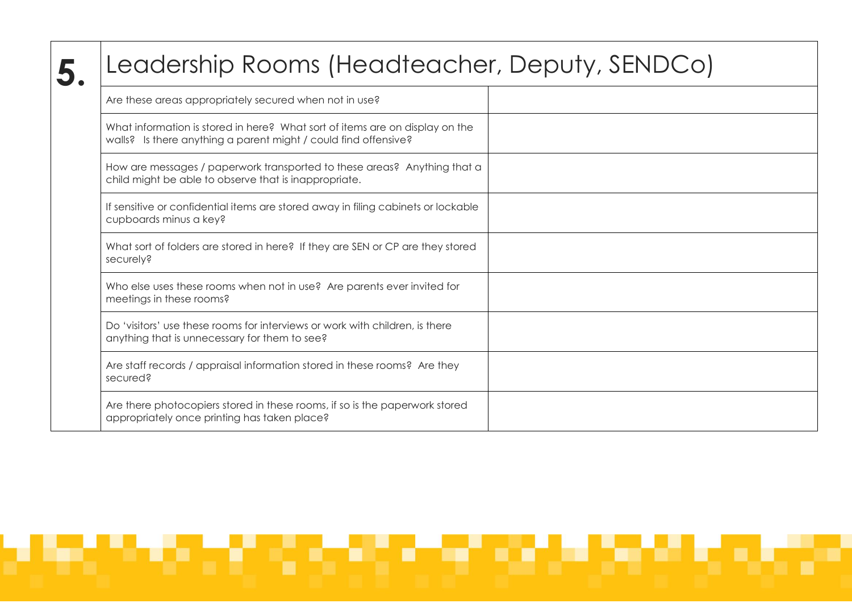| Leadership Rooms (Headteacher, Deputy, SENDCo)                                                                                                  |  |
|-------------------------------------------------------------------------------------------------------------------------------------------------|--|
| Are these areas appropriately secured when not in use?                                                                                          |  |
| What information is stored in here? What sort of items are on display on the<br>walls? Is there anything a parent might / could find offensive? |  |
| How are messages / paperwork transported to these areas? Anything that a<br>child might be able to observe that is inappropriate.               |  |
| If sensitive or confidential items are stored away in filing cabinets or lockable<br>cupboards minus a key?                                     |  |
| What sort of folders are stored in here? If they are SEN or CP are they stored<br>securely?                                                     |  |
| Who else uses these rooms when not in use? Are parents ever invited for<br>meetings in these rooms?                                             |  |
| Do 'visitors' use these rooms for interviews or work with children, is there<br>anything that is unnecessary for them to see?                   |  |
| Are staff records / appraisal information stored in these rooms? Are they<br>secured?                                                           |  |
| Are there photocopiers stored in these rooms, if so is the paperwork stored<br>appropriately once printing has taken place?                     |  |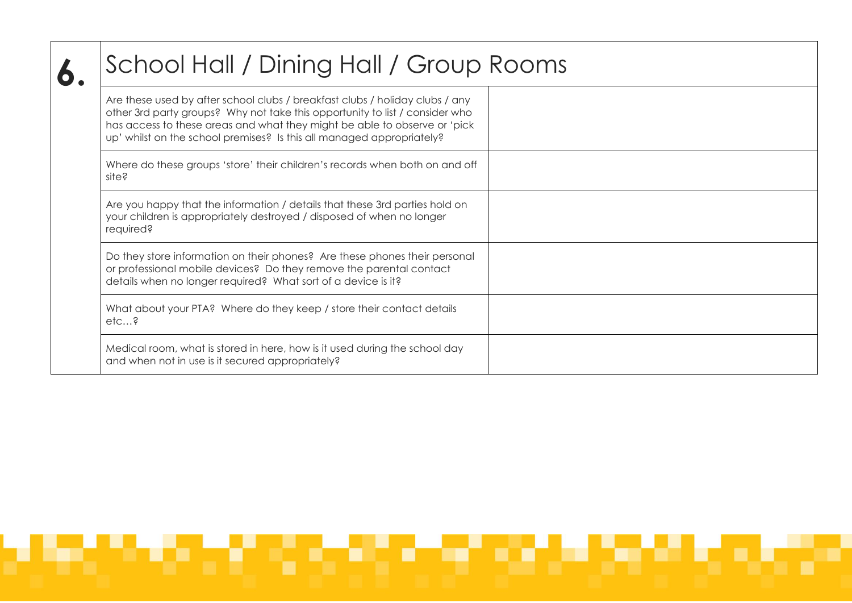| School Hall / Dining Hall / Group Rooms                                                                                                                                                                                                                                                                            |  |
|--------------------------------------------------------------------------------------------------------------------------------------------------------------------------------------------------------------------------------------------------------------------------------------------------------------------|--|
| Are these used by after school clubs / breakfast clubs / holiday clubs / any<br>other 3rd party groups? Why not take this opportunity to list / consider who<br>has access to these areas and what they might be able to observe or 'pick<br>up' whilst on the school premises? Is this all managed appropriately? |  |
| Where do these groups 'store' their children's records when both on and off<br>site?                                                                                                                                                                                                                               |  |
| Are you happy that the information / details that these 3rd parties hold on<br>your children is appropriately destroyed / disposed of when no longer<br>required?                                                                                                                                                  |  |
| Do they store information on their phones? Are these phones their personal<br>or professional mobile devices? Do they remove the parental contact<br>details when no longer required? What sort of a device is it?                                                                                                 |  |
| What about your PTA? Where do they keep / store their contact details<br>$etc$ ?                                                                                                                                                                                                                                   |  |
| Medical room, what is stored in here, how is it used during the school day<br>and when not in use is it secured appropriately?                                                                                                                                                                                     |  |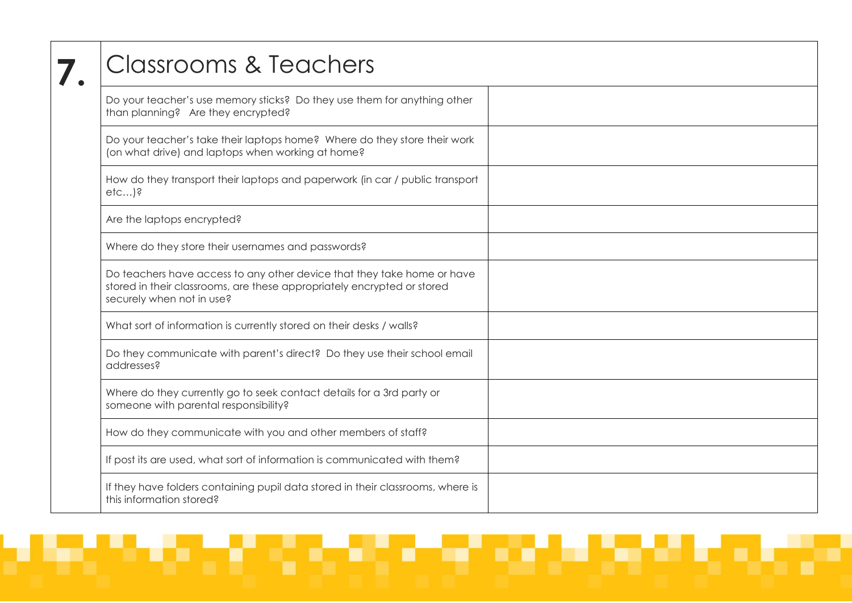| <b>Classrooms &amp; Teachers</b>                                                                                                                                                |  |
|---------------------------------------------------------------------------------------------------------------------------------------------------------------------------------|--|
| Do your teacher's use memory sticks? Do they use them for anything other<br>than planning? Are they encrypted?                                                                  |  |
| Do your teacher's take their laptops home? Where do they store their work<br>(on what drive) and laptops when working at home?                                                  |  |
| How do they transport their laptops and paperwork (in car / public transport<br>$etc$ )?                                                                                        |  |
| Are the laptops encrypted?                                                                                                                                                      |  |
| Where do they store their usernames and passwords?                                                                                                                              |  |
| Do teachers have access to any other device that they take home or have<br>stored in their classrooms, are these appropriately encrypted or stored<br>securely when not in use? |  |
| What sort of information is currently stored on their desks / walls?                                                                                                            |  |
| Do they communicate with parent's direct? Do they use their school email<br>addresses?                                                                                          |  |
| Where do they currently go to seek contact details for a 3rd party or<br>someone with parental responsibility?                                                                  |  |
| How do they communicate with you and other members of staff?                                                                                                                    |  |
| If post its are used, what sort of information is communicated with them?                                                                                                       |  |
| If they have folders containing pupil data stored in their classrooms, where is<br>this information stored?                                                                     |  |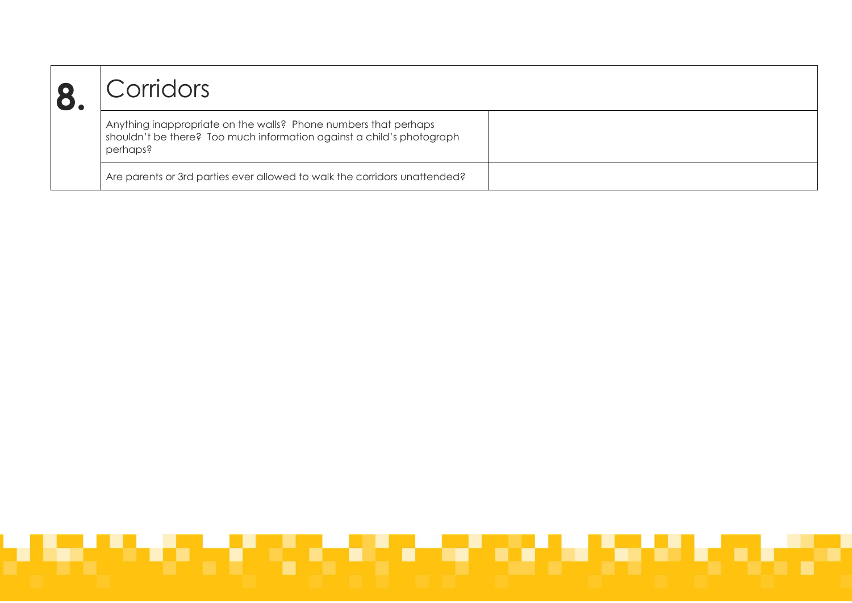| Corridors                                                                                                                                            |  |
|------------------------------------------------------------------------------------------------------------------------------------------------------|--|
| Anything inappropriate on the walls? Phone numbers that perhaps<br>shouldn't be there? Too much information against a child's photograph<br>perhaps? |  |
| Are parents or 3rd parties ever allowed to walk the corridors unattended?                                                                            |  |

# والمتواد المتوافق المتوافق المتوافق المتوافق والمتوافق والمتوافق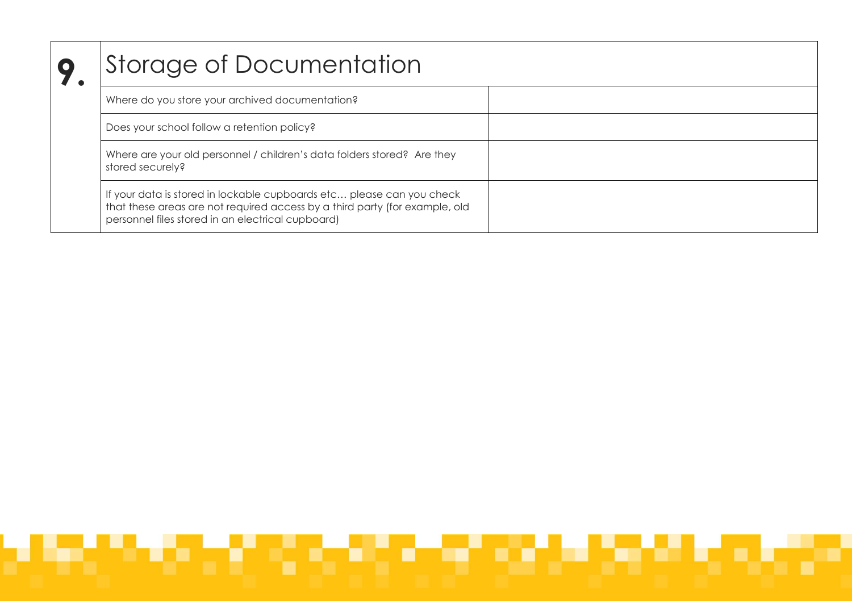| Storage of Documentation                                                                                                                                                                                  |  |
|-----------------------------------------------------------------------------------------------------------------------------------------------------------------------------------------------------------|--|
| Where do you store your archived documentation?                                                                                                                                                           |  |
| Does your school follow a retention policy?                                                                                                                                                               |  |
| Where are your old personnel / children's data folders stored? Are they<br>stored securely?                                                                                                               |  |
| If your data is stored in lockable cupboards etc please can you check<br>that these areas are not required access by a third party (for example, old<br>personnel files stored in an electrical cupboard) |  |

# والمتواد المتوافق المتوافق المتوافق المتوافق والمتوافق والمتوافق